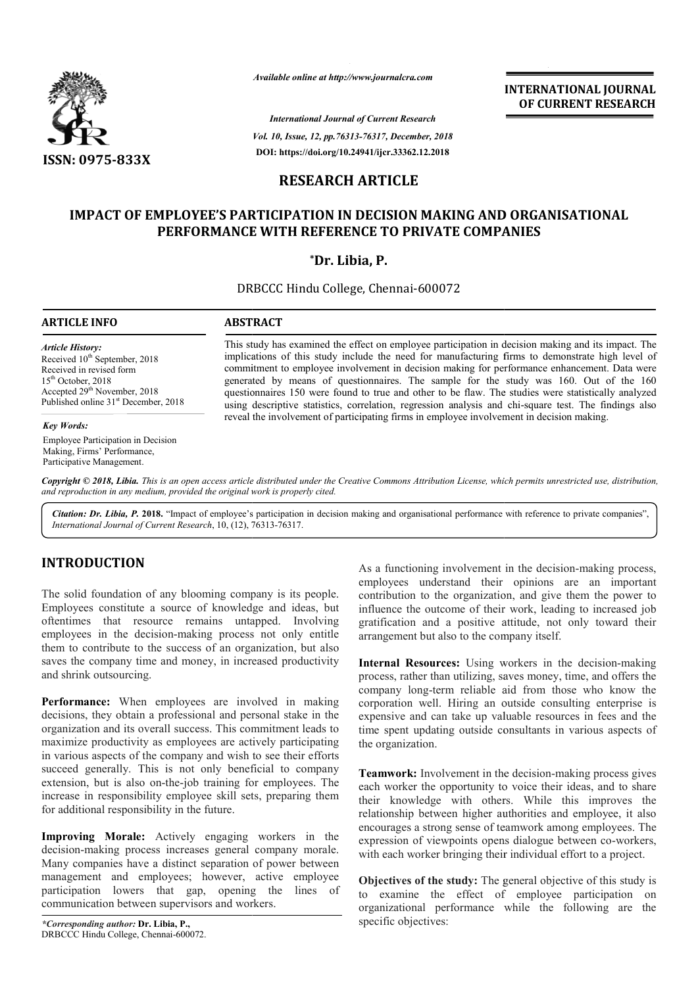

*Available online at http://www.journalcra.com*

*International Journal of Current Research Vol. 10, Issue, 12, pp.76313-76317, December, 2018* **DOI: https://doi.org/10.24941/ijcr.33362.12.2018**

**INTERNATIONAL JOURNAL OF CURRENT RESEARCH**

# **RESEARCH ARTICLE**

# **IMPACT OF EMPLOYEE'S PARTICIPATION IN DECISION MAKING AND ORGANISATIONAL PERFORMANCE WITH REFERENCE TO PRIVATE COMPANIES WITH REFERENCE**

# **\*Dr. Libia, P.**

DRBCCC Hindu College, Chennai-600072

## **ARTICLE INFO ABSTRACT**

*Article History:* Received  $10^{th}$  September, 2018 Received in revised form  $15<sup>th</sup>$  October, 2018 Accepted 29<sup>th</sup> November, 2018 Published online 31<sup>st</sup> December, 2018

#### *Key Words:*

Employee Participation in Decision Making, Firms' Performance, Participative Management.

This study has examined the effect on employee participation in decision making and its impact. The implications of this study include the need for manufacturing firms to demonstrate high level of commitment to employee involvement in decision making for p performance enhancement. Data were generated by means of questionnaires. The sample for the study was 160. Out of the 160 questionnaires 150 were found to true and other to be flaw. The studies were statistically analyzed using descriptive statistics, correlation, regression analysis and chi reveal the involvement of participating firms in employee involvement in decision making. This study has examined the effect on employee participation in decision making and its impact. The implications of this study include the need for manufacturing firms to demonstrate high level of commitment to employee in

Copyright © 2018, Libia. This is an open access article distributed under the Creative Commons Attribution License, which permits unrestricted use, distribution, *and reproduction in any medium, provided the original work is properly cited.*

Citation: Dr. Libia, P. 2018. "Impact of employee's participation in decision making and organisational performance with reference to private companies", *International Journal of Current Research*, 10, (12), 76313 76313-76317.

# **INTRODUCTION**

The solid foundation of any blooming company is its people. Employees constitute a source of knowledge and ideas, but oftentimes that resource remains untapped. Involving employees in the decision-making process not only entitle them to contribute to the success of an organization, but also saves the company time and money, in increased productivity and shrink outsourcing.

**Performance:** When employees are involved in making decisions, they obtain a professional and personal stake in the organization and its overall success. This commitment leads to maximize productivity as employees are actively participating in various aspects of the company and wish to see their efforts succeed generally. This is not only beneficial to company extension, but is also on-the-job training for employees. The increase in responsibility employee skill sets, preparing them for additional responsibility in the future. is in the decision-making process not only entitle<br>contribute to the success of an organization, but also<br>company time and money, in increased productivity<br>k outsourcing.<br>**ance:** When employees are involved in making<br>i, th

**Improving Morale:** Actively engaging workers in the decision-making process increases general company morale. Many companies have a distinct separation of power betwee management and employees; however, active employee participation lowers that gap, opening the lines of communication between supervisors and workers.

As a functioning involvement in the decision-making process, employees understand their opinions are an important contribution to the organization, and give them the power to influence the outcome of their work, leading to increased job gratification and a positive attitude, not only toward their arrangement but also to the company itself. is understand their opinions are an important<br>on to the organization, and give them the power to<br>the outcome of their work, leading to increased job<br>on and a positive attitude, not only toward their

**Internal Resources:** Using workers in the decision-making process, rather than utilizing, saves money, time, and offers the company long-term reliable aid from those who know the corporation well. Hiring an outside consulting enterprise is expensive and can take up valuable resources in fees and the time spent updating outside consultants in various aspects of the organization. time spent updating outside consultants in various aspects of<br>the organization.<br>**Teamwork:** Involvement in the decision-making process gives than utilizing, saves money, time, and offers the<br>term reliable aid from those who know the<br>Il. Hiring an outside consulting enterprise is<br>can take up valuable resources in fees and the

each worker the opportunity to voice their ideas, and to share their knowledge with others. While this improves the relationship between higher authorities and employee, it also encourages a strong sense of teamwork among employees. The encourages a strong sense of teamwork among employees. The expression of viewpoints opens dialogue between co-workers, with each worker bringing their individual effort to a project. **INTERNATIONAL JOURNAL**<br> **IDENTIFY (SETT)**<br> **IDENTIFY (SETT)**<br> **IDENTIFY (SETT)**<br> **IDENTIFY (SETT)**<br> **IDENTIFY (SETT)**<br> **IAKING AND ORGANISATIONAL**<br> **IAKING AND ORGANISATIONAL**<br> **IAKING AND ORGANISATIONAL**<br> **ITE COMPANIES** 

**Objectives of the study:** The general objective of this study is to examine the effect of employee participation on organizational performance while the following are the specific objectives: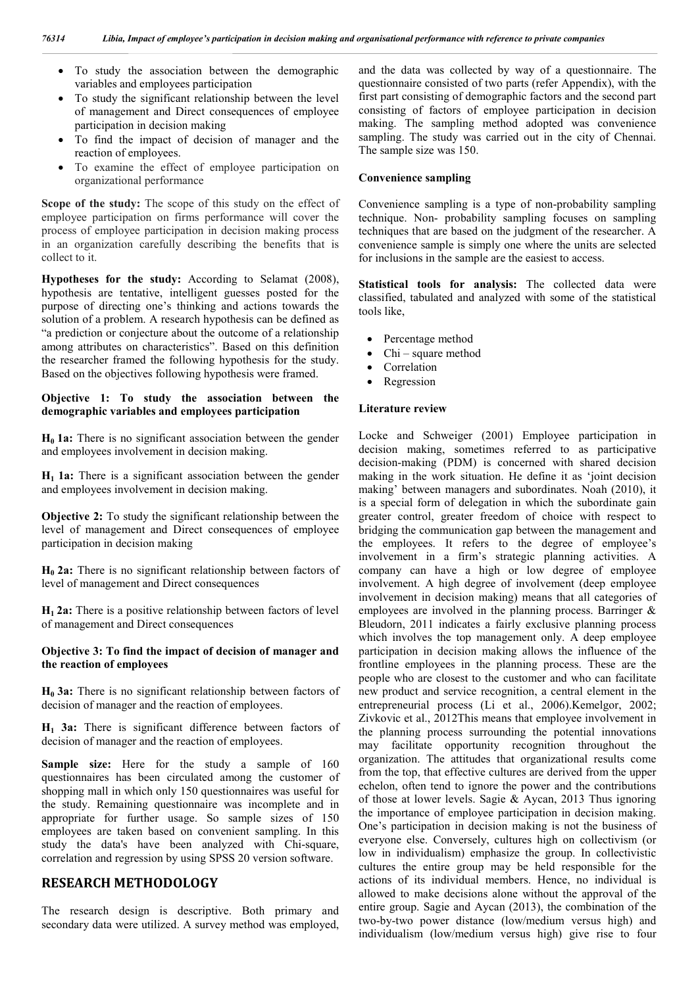- To study the association between the demographic variables and employees participation
- To study the significant relationship between the level of management and Direct consequences of employee participation in decision making
- To find the impact of decision of manager and the reaction of employees.
- To examine the effect of employee participation on organizational performance

**Scope of the study:** The scope of this study on the effect of employee participation on firms performance will cover the process of employee participation in decision making process in an organization carefully describing the benefits that is collect to it.

**Hypotheses for the study:** According to Selamat (2008), hypothesis are tentative, intelligent guesses posted for the purpose of directing one's thinking and actions towards the solution of a problem. A research hypothesis can be defined as "a prediction or conjecture about the outcome of a relationship among attributes on characteristics". Based on this definition the researcher framed the following hypothesis for the study. Based on the objectives following hypothesis were framed.

## **Objective 1: To study the association between the demographic variables and employees participation**

**H<sub>0</sub> 1a:** There is no significant association between the gender and employees involvement in decision making.

**H1 1a:** There is a significant association between the gender and employees involvement in decision making.

**Objective 2:** To study the significant relationship between the level of management and Direct consequences of employee participation in decision making

**H0 2a:** There is no significant relationship between factors of level of management and Direct consequences

**H1 2a:** There is a positive relationship between factors of level of management and Direct consequences

## **Objective 3: To find the impact of decision of manager and the reaction of employees**

**H0 3a:** There is no significant relationship between factors of decision of manager and the reaction of employees.

**H1 3a:** There is significant difference between factors of decision of manager and the reaction of employees.

**Sample size:** Here for the study a sample of 160 questionnaires has been circulated among the customer of shopping mall in which only 150 questionnaires was useful for the study. Remaining questionnaire was incomplete and in appropriate for further usage. So sample sizes of 150 employees are taken based on convenient sampling. In this study the data's have been analyzed with Chi-square, correlation and regression by using SPSS 20 version software.

## **RESEARCH METHODOLOGY**

The research design is descriptive. Both primary and secondary data were utilized. A survey method was employed, and the data was collected by way of a questionnaire. The questionnaire consisted of two parts (refer Appendix), with the first part consisting of demographic factors and the second part consisting of factors of employee participation in decision making. The sampling method adopted was convenience sampling. The study was carried out in the city of Chennai. The sample size was 150.

#### **Convenience sampling**

Convenience sampling is a type of non-probability sampling technique. Non- probability sampling focuses on sampling techniques that are based on the judgment of the researcher. A convenience sample is simply one where the units are selected for inclusions in the sample are the easiest to access.

**Statistical tools for analysis:** The collected data were classified, tabulated and analyzed with some of the statistical tools like,

- Percentage method
- Chi square method
- Correlation
- Regression

#### **Literature review**

Locke and Schweiger (2001) Employee participation in decision making, sometimes referred to as participative decision-making (PDM) is concerned with shared decision making in the work situation. He define it as 'joint decision making' between managers and subordinates. Noah (2010), it is a special form of delegation in which the subordinate gain greater control, greater freedom of choice with respect to bridging the communication gap between the management and the employees. It refers to the degree of employee's involvement in a firm's strategic planning activities. A company can have a high or low degree of employee involvement. A high degree of involvement (deep employee involvement in decision making) means that all categories of employees are involved in the planning process. Barringer & Bleudorn, 2011 indicates a fairly exclusive planning process which involves the top management only. A deep employee participation in decision making allows the influence of the frontline employees in the planning process. These are the people who are closest to the customer and who can facilitate new product and service recognition, a central element in the entrepreneurial process (Li et al., 2006).Kemelgor, 2002; Zivkovic et al., 2012This means that employee involvement in the planning process surrounding the potential innovations may facilitate opportunity recognition throughout the organization. The attitudes that organizational results come from the top, that effective cultures are derived from the upper echelon, often tend to ignore the power and the contributions of those at lower levels. Sagie & Aycan, 2013 Thus ignoring the importance of employee participation in decision making. One's participation in decision making is not the business of everyone else. Conversely, cultures high on collectivism (or low in individualism) emphasize the group. In collectivistic cultures the entire group may be held responsible for the actions of its individual members. Hence, no individual is allowed to make decisions alone without the approval of the entire group. Sagie and Aycan (2013), the combination of the two-by-two power distance (low/medium versus high) and individualism (low/medium versus high) give rise to four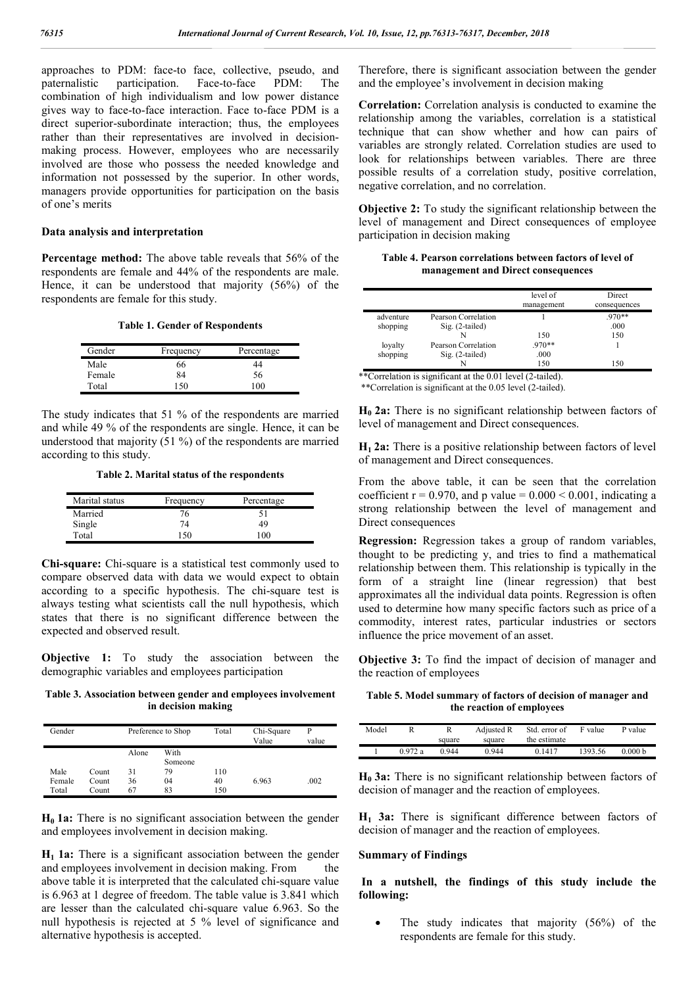approaches to PDM: face-to face, collective, pseudo, and paternalistic participation. Face-to-face PDM: The paternalistic participation. Face-to-face PDM: The combination of high individualism and low power distance gives way to face-to-face interaction. Face to-face PDM is a direct superior-subordinate interaction; thus, the employees rather than their representatives are involved in decisionmaking process. However, employees who are necessarily involved are those who possess the needed knowledge and information not possessed by the superior. In other words, managers provide opportunities for participation on the basis of one's merits

#### **Data analysis and interpretation**

**Percentage method:** The above table reveals that 56% of the respondents are female and 44% of the respondents are male. Hence, it can be understood that majority (56%) of the respondents are female for this study.

**Table 1. Gender of Respondents**

| Gender | Frequency | Percentage |
|--------|-----------|------------|
| Male   | 66        | 44         |
| Female | 84        | 56         |
| Total  | -50       | 100        |

The study indicates that 51 % of the respondents are married and while 49 % of the respondents are single. Hence, it can be understood that majority (51 %) of the respondents are married according to this study.

**Table 2. Marital status of the respondents**

| Marital status | Frequency | Percentage |
|----------------|-----------|------------|
| Married        | 76        | 51         |
| Single         | 74        | 49         |
| Total          | 150       | 100        |

**Chi-square:** Chi-square is a statistical test commonly used to compare observed data with data we would expect to obtain according to a specific hypothesis. The chi-square test is always testing what scientists call the null hypothesis, which states that there is no significant difference between the expected and observed result.

**Objective 1:** To study the association between the demographic variables and employees participation

**Table 3. Association between gender and employees involvement in decision making**

| Gender |       |       | Preference to Shop | Total | Chi-Square<br>Value | P<br>value |
|--------|-------|-------|--------------------|-------|---------------------|------------|
|        |       | Alone | With               |       |                     |            |
|        |       |       | Someone            |       |                     |            |
| Male   | Count | 31    | 79                 | 110   |                     |            |
| Female | Count | 36    | 04                 | 40    | 6.963               | .002       |
| Total  | Count | 67    | 83                 | 150   |                     |            |

**H<sub>0</sub> 1a:** There is no significant association between the gender and employees involvement in decision making.

**H1 1a:** There is a significant association between the gender and employees involvement in decision making. From the above table it is interpreted that the calculated chi-square value is 6.963 at 1 degree of freedom. The table value is 3.841 which are lesser than the calculated chi-square value 6.963. So the null hypothesis is rejected at 5 % level of significance and alternative hypothesis is accepted.

Therefore, there is significant association between the gender and the employee's involvement in decision making

**Correlation:** Correlation analysis is conducted to examine the relationship among the variables, correlation is a statistical technique that can show whether and how can pairs of variables are strongly related. Correlation studies are used to look for relationships between variables. There are three possible results of a correlation study, positive correlation, negative correlation, and no correlation.

**Objective 2:** To study the significant relationship between the level of management and Direct consequences of employee participation in decision making

**Table 4. Pearson correlations between factors of level of management and Direct consequences**

|           |                     | level of   | Direct       |
|-----------|---------------------|------------|--------------|
|           |                     | management | consequences |
| adventure | Pearson Correlation |            | $.970**$     |
| shopping  | $Sig. (2-tailed)$   |            | .000         |
|           |                     | 150        | 150          |
| loyalty   | Pearson Correlation | $.970**$   |              |
| shopping  | $Sig. (2-tailed)$   | .000       |              |
|           |                     | 150        | 150          |

\*\*Correlation is significant at the 0.01 level (2-tailed). \*\*Correlation is significant at the 0.05 level (2-tailed).

**H<sub>0</sub> 2a:** There is no significant relationship between factors of level of management and Direct consequences.

**H1 2a:** There is a positive relationship between factors of level of management and Direct consequences.

From the above table, it can be seen that the correlation coefficient  $r = 0.970$ , and p value =  $0.000 \le 0.001$ , indicating a strong relationship between the level of management and Direct consequences

**Regression:** Regression takes a group of random variables, thought to be predicting y, and tries to find a mathematical relationship between them. This relationship is typically in the form of a straight line (linear regression) that best approximates all the individual data points. Regression is often used to determine how many specific factors such as price of a commodity, interest rates, particular industries or sectors influence the price movement of an asset.

**Objective 3:** To find the impact of decision of manager and the reaction of employees

**Table 5. Model summary of factors of decision of manager and the reaction of employees**

| Model |        | R<br>square | Adjusted R<br>square | Std. error of<br>the estimate | F value | P value |  |
|-------|--------|-------------|----------------------|-------------------------------|---------|---------|--|
|       | 0.972a | 0.944       | 0.944                | 0.1417                        | 1393.56 | 0.000 b |  |

**H0 3a:** There is no significant relationship between factors of decision of manager and the reaction of employees.

**H1 3a:** There is significant difference between factors of decision of manager and the reaction of employees.

## **Summary of Findings**

**In a nutshell, the findings of this study include the following:** 

 The study indicates that majority (56%) of the respondents are female for this study.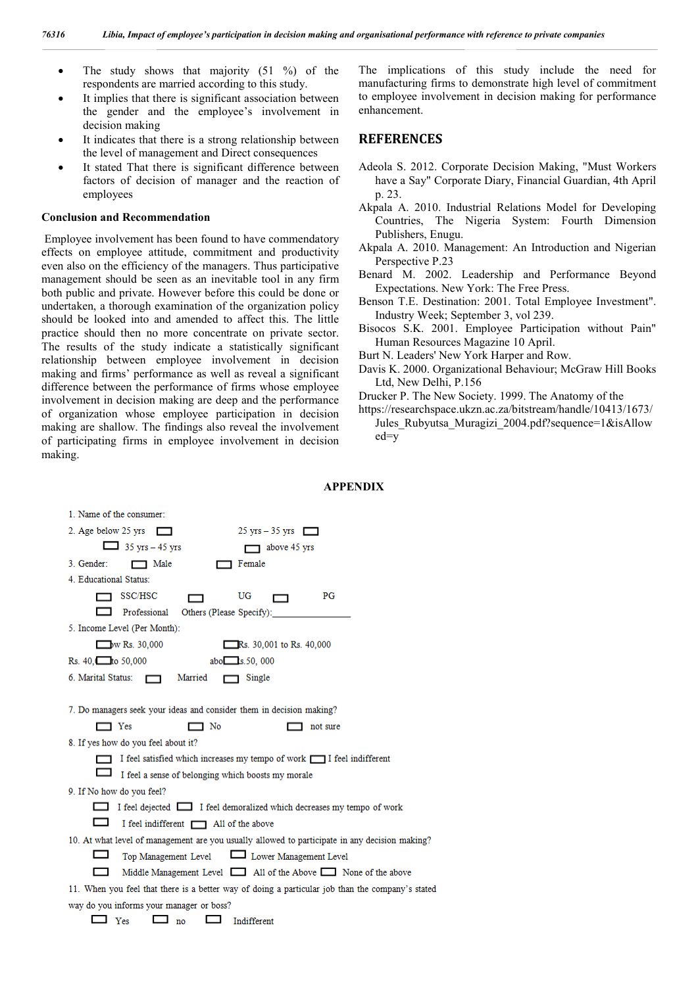- $\bullet$  The study shows that majority (51 %) of the respondents are married according to this study.
- It implies that there is significant association between the gender and the employee's involvement in decision making
- It indicates that there is a strong relationship between the level of management and Direct consequences
- It stated That there is significant difference between factors of decision of manager and the reaction of employees

#### **Conclusion and Recommendation**

Employee involvement has been found to have commendatory effects on employee attitude, commitment and productivity even also on the efficiency of the managers. Thus participative management should be seen as an inevitable tool in any firm both public and private. However before this could be done or undertaken, a thorough examination of the organization policy should be looked into and amended to affect this. The little practice should then no more concentrate on private sector. The results of the study indicate a statistically significant relationship between employee involvement in decision making and firms' performance as well as reveal a significant difference between the performance of firms whose employee involvement in decision making are deep and the performance of organization whose employee participation in decision making are shallow. The findings also reveal the involvement of participating firms in employee involvement in decision making.

The implications of this study include the need for manufacturing firms to demonstrate high level of commitment to employee involvement in decision making for performance enhancement.

## **REFERENCES**

**APPENDIX**

- Adeola S. 2012. Corporate Decision Making, "Must Workers have a Say" Corporate Diary, Financial Guardian, 4th April p. 23.
- Akpala A. 2010. Industrial Relations Model for Developing Countries, The Nigeria System: Fourth Dimension Publishers, Enugu.
- Akpala A. 2010. Management: An Introduction and Nigerian Perspective P.23
- Benard M. 2002. Leadership and Performance Beyond Expectations. New York: The Free Press.
- Benson T.E. Destination: 2001. Total Employee Investment". Industry Week; September 3, vol 239.
- Bisocos S.K. 2001. Employee Participation without Pain" Human Resources Magazine 10 April.
- Burt N. Leaders' New York Harper and Row.
- Davis K. 2000. Organizational Behaviour; McGraw Hill Books Ltd, New Delhi, P.156
- Drucker P. The New Society. 1999. The Anatomy of the
- https://researchspace.ukzn.ac.za/bitstream/handle/10413/1673/ Jules Rubyutsa Muragizi 2004.pdf?sequence=1&isAllow ed=y

| 1. Name of the consumer:                                                                         |
|--------------------------------------------------------------------------------------------------|
| 2. Age below 25 yrs $\Box$<br>$25 \text{ yrs} - 35 \text{ yrs}$                                  |
| $\Box$ 35 yrs – 45 yrs<br>above 45 yrs                                                           |
| 3. Gender:<br>1 Male<br>1 Female                                                                 |
| 4. Educational Status:                                                                           |
| SSC/HSC<br>UG<br>PG                                                                              |
| Professional Others (Please Specify):                                                            |
| 5. Income Level (Per Month):                                                                     |
| $\Box$ W Rs. 30,000<br>Rs. 30,001 to Rs. 40,000                                                  |
| Rs. $40.$ to $50,000$<br>abo $\Box$ s. 50, 000                                                   |
| 6. Marital Status: [77] Married<br>1 Single                                                      |
|                                                                                                  |
| 7. Do managers seek your ideas and consider them in decision making?                             |
| Yes<br>$\sqsupset$ No<br>not sure                                                                |
| 8. If yes how do you feel about it?                                                              |
| I feel satisfied which increases my tempo of work [78] I feel indifferent                        |
| I feel a sense of belonging which boosts my morale                                               |
| 9. If No how do you feel?                                                                        |
| I feel dejected I feel demoralized which decreases my tempo of work                              |
| I feel indifferent 1 All of the above                                                            |
| 10. At what level of management are you usually allowed to participate in any decision making?   |
| Top Management Level<br><u>Lower Management Level</u>                                            |
| Middle Management Level 411 of the Above 51 None of the above                                    |
| 11. When you feel that there is a better way of doing a particular job than the company's stated |
| way do you informs your manager or boss?                                                         |
| Yes<br>Indifferent<br>no                                                                         |